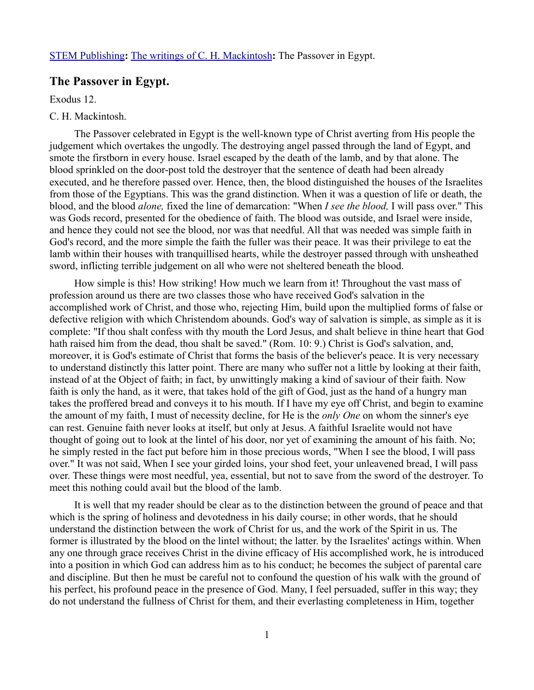## **The Passover in Egypt.**

Exodus 12.

## C. H. Mackintosh.

The Passover celebrated in Egypt is the well-known type of Christ averting from His people the judgement which overtakes the ungodly. The destroying angel passed through the land of Egypt, and smote the firstborn in every house. Israel escaped by the death of the lamb, and by that alone. The blood sprinkled on the door-post told the destroyer that the sentence of death had been already executed, and he therefore passed over. Hence, then, the blood distinguished the houses of the Israelites from those of the Egyptians. This was the grand distinction. When it was a question of life or death, the blood, and the blood *alone,* fixed the line of demarcation: "When *I see the blood,* I will pass over." This was Gods record, presented for the obedience of faith. The blood was outside, and Israel were inside, and hence they could not see the blood, nor was that needful. All that was needed was simple faith in God's record, and the more simple the faith the fuller was their peace. It was their privilege to eat the lamb within their houses with tranquillised hearts, while the destroyer passed through with unsheathed sword, inflicting terrible judgement on all who were not sheltered beneath the blood.

How simple is this! How striking! How much we learn from it! Throughout the vast mass of profession around us there are two classes those who have received God's salvation in the accomplished work of Christ, and those who, rejecting Him, build upon the multiplied forms of false or defective religion with which Christendom abounds. God's way of salvation is simple, as simple as it is complete: "If thou shalt confess with thy mouth the Lord Jesus, and shalt believe in thine heart that God hath raised him from the dead, thou shalt be saved." (Rom. 10: 9.) Christ is God's salvation, and, moreover, it is God's estimate of Christ that forms the basis of the believer's peace. It is very necessary to understand distinctly this latter point. There are many who suffer not a little by looking at their faith, instead of at the Object of faith; in fact, by unwittingly making a kind of saviour of their faith. Now faith is only the hand, as it were, that takes hold of the gift of God, just as the hand of a hungry man takes the proffered bread and conveys it to his mouth. If I have my eye off Christ, and begin to examine the amount of my faith, I must of necessity decline, for He is the *only One* on whom the sinner's eye can rest. Genuine faith never looks at itself, but only at Jesus. A faithful Israelite would not have thought of going out to look at the lintel of his door, nor yet of examining the amount of his faith. No; he simply rested in the fact put before him in those precious words, "When I see the blood, I will pass over." It was not said, When I see your girded loins, your shod feet, your unleavened bread, I will pass over. These things were most needful, yea, essential, but not to save from the sword of the destroyer. To meet this nothing could avail but the blood of the lamb.

It is well that my reader should be clear as to the distinction between the ground of peace and that which is the spring of holiness and devotedness in his daily course; in other words, that he should understand the distinction between the work of Christ for us, and the work of the Spirit in us. The former is illustrated by the blood on the lintel without; the latter. by the Israelites' actings within. When any one through grace receives Christ in the divine efficacy of His accomplished work, he is introduced into a position in which God can address him as to his conduct; he becomes the subject of parental care and discipline. But then he must be careful not to confound the question of his walk with the ground of his perfect, his profound peace in the presence of God. Many, I feel persuaded, suffer in this way; they do not understand the fullness of Christ for them, and their everlasting completeness in Him, together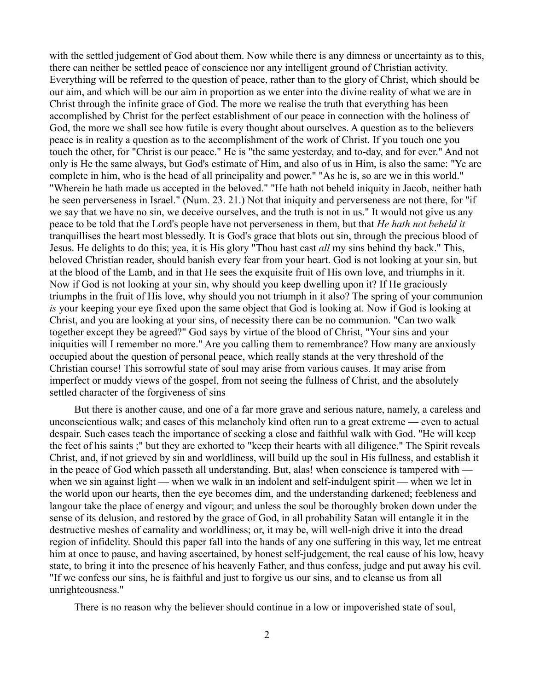with the settled judgement of God about them. Now while there is any dimness or uncertainty as to this, there can neither be settled peace of conscience nor any intelligent ground of Christian activity. Everything will be referred to the question of peace, rather than to the glory of Christ, which should be our aim, and which will be our aim in proportion as we enter into the divine reality of what we are in Christ through the infinite grace of God. The more we realise the truth that everything has been accomplished by Christ for the perfect establishment of our peace in connection with the holiness of God, the more we shall see how futile is every thought about ourselves. A question as to the believers peace is in reality a question as to the accomplishment of the work of Christ. If you touch one you touch the other, for "Christ is our peace." He is "the same yesterday, and to-day, and for ever." And not only is He the same always, but God's estimate of Him, and also of us in Him, is also the same: "Ye are complete in him, who is the head of all principality and power." "As he is, so are we in this world." "Wherein he hath made us accepted in the beloved." "He hath not beheld iniquity in Jacob, neither hath he seen perverseness in Israel." (Num. 23. 21.) Not that iniquity and perverseness are not there, for "if we say that we have no sin, we deceive ourselves, and the truth is not in us." It would not give us any peace to be told that the Lord's people have not perverseness in them, but that *He hath not beheld it* tranquillises the heart most blessedly. It is God's grace that blots out sin, through the precious blood of Jesus. He delights to do this; yea, it is His glory "Thou hast cast *all* my sins behind thy back." This, beloved Christian reader, should banish every fear from your heart. God is not looking at your sin, but at the blood of the Lamb, and in that He sees the exquisite fruit of His own love, and triumphs in it. Now if God is not looking at your sin, why should you keep dwelling upon it? If He graciously triumphs in the fruit of His love, why should you not triumph in it also? The spring of your communion *is* your keeping your eye fixed upon the same object that God is looking at. Now if God is looking at Christ, and you are looking at your sins, of necessity there can be no communion. "Can two walk together except they be agreed?" God says by virtue of the blood of Christ, "Your sins and your iniquities will I remember no more." Are you calling them to remembrance? How many are anxiously occupied about the question of personal peace, which really stands at the very threshold of the Christian course! This sorrowful state of soul may arise from various causes. It may arise from imperfect or muddy views of the gospel, from not seeing the fullness of Christ, and the absolutely settled character of the forgiveness of sins

But there is another cause, and one of a far more grave and serious nature, namely, a careless and unconscientious walk; and cases of this melancholy kind often run to a great extreme — even to actual despair. Such cases teach the importance of seeking a close and faithful walk with God. "He will keep the feet of his saints ;" but they are exhorted to "keep their hearts with all diligence." The Spirit reveals Christ, and, if not grieved by sin and worldliness, will build up the soul in His fullness, and establish it in the peace of God which passeth all understanding. But, alas! when conscience is tampered with when we sin against light — when we walk in an indolent and self-indulgent spirit — when we let in the world upon our hearts, then the eye becomes dim, and the understanding darkened; feebleness and langour take the place of energy and vigour; and unless the soul be thoroughly broken down under the sense of its delusion, and restored by the grace of God, in all probability Satan will entangle it in the destructive meshes of carnality and worldliness; or, it may be, will well-nigh drive it into the dread region of infidelity. Should this paper fall into the hands of any one suffering in this way, let me entreat him at once to pause, and having ascertained, by honest self-judgement, the real cause of his low, heavy state, to bring it into the presence of his heavenly Father, and thus confess, judge and put away his evil. "If we confess our sins, he is faithful and just to forgive us our sins, and to cleanse us from all unrighteousness."

There is no reason why the believer should continue in a low or impoverished state of soul,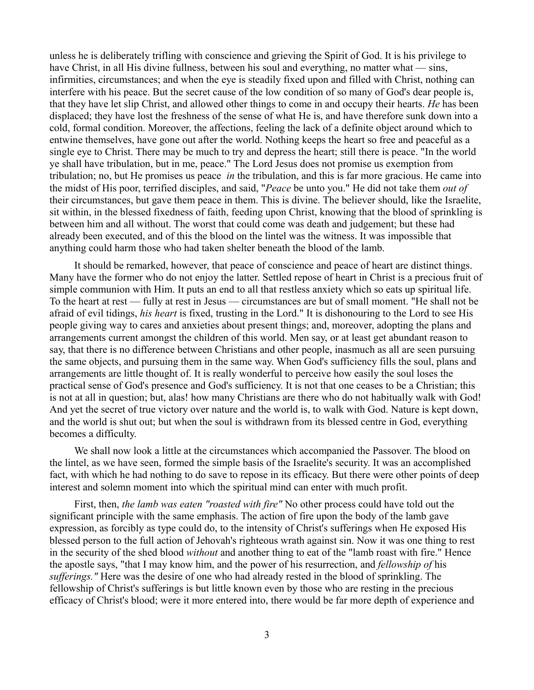unless he is deliberately trifling with conscience and grieving the Spirit of God. It is his privilege to have Christ, in all His divine fullness, between his soul and everything, no matter what — sins, infirmities, circumstances; and when the eye is steadily fixed upon and filled with Christ, nothing can interfere with his peace. But the secret cause of the low condition of so many of God's dear people is, that they have let slip Christ, and allowed other things to come in and occupy their hearts. *He* has been displaced; they have lost the freshness of the sense of what He is, and have therefore sunk down into a cold, formal condition. Moreover, the affections, feeling the lack of a definite object around which to entwine themselves, have gone out after the world. Nothing keeps the heart so free and peaceful as a single eye to Christ. There may be much to try and depress the heart; still there is peace. "In the world ye shall have tribulation, but in me, peace." The Lord Jesus does not promise us exemption from tribulation; no, but He promises us peace *in* the tribulation, and this is far more gracious. He came into the midst of His poor, terrified disciples, and said, "*Peace* be unto you." He did not take them *out of* their circumstances, but gave them peace in them. This is divine. The believer should, like the Israelite, sit within, in the blessed fixedness of faith, feeding upon Christ, knowing that the blood of sprinkling is between him and all without. The worst that could come was death and judgement; but these had already been executed, and of this the blood on the lintel was the witness. It was impossible that anything could harm those who had taken shelter beneath the blood of the lamb.

It should be remarked, however, that peace of conscience and peace of heart are distinct things. Many have the former who do not enjoy the latter. Settled repose of heart in Christ is a precious fruit of simple communion with Him. It puts an end to all that restless anxiety which so eats up spiritual life. To the heart at rest — fully at rest in Jesus — circumstances are but of small moment. "He shall not be afraid of evil tidings, *his heart* is fixed, trusting in the Lord." It is dishonouring to the Lord to see His people giving way to cares and anxieties about present things; and, moreover, adopting the plans and arrangements current amongst the children of this world. Men say, or at least get abundant reason to say, that there is no difference between Christians and other people, inasmuch as all are seen pursuing the same objects, and pursuing them in the same way. When God's sufficiency fills the soul, plans and arrangements are little thought of. It is really wonderful to perceive how easily the soul loses the practical sense of God's presence and God's sufficiency. It is not that one ceases to be a Christian; this is not at all in question; but, alas! how many Christians are there who do not habitually walk with God! And yet the secret of true victory over nature and the world is, to walk with God. Nature is kept down, and the world is shut out; but when the soul is withdrawn from its blessed centre in God, everything becomes a difficulty.

We shall now look a little at the circumstances which accompanied the Passover. The blood on the lintel, as we have seen, formed the simple basis of the Israelite's security. It was an accomplished fact, with which he had nothing to do save to repose in its efficacy. But there were other points of deep interest and solemn moment into which the spiritual mind can enter with much profit.

First, then, *the lamb was eaten "roasted with fire"* No other process could have told out the significant principle with the same emphasis. The action of fire upon the body of the lamb gave expression, as forcibly as type could do, to the intensity of Christ's sufferings when He exposed His blessed person to the full action of Jehovah's righteous wrath against sin. Now it was one thing to rest in the security of the shed blood *without* and another thing to eat of the "lamb roast with fire." Hence the apostle says, "that I may know him, and the power of his resurrection, and *fellowship of* his *sufferings."* Here was the desire of one who had already rested in the blood of sprinkling. The fellowship of Christ's sufferings is but little known even by those who are resting in the precious efficacy of Christ's blood; were it more entered into, there would be far more depth of experience and